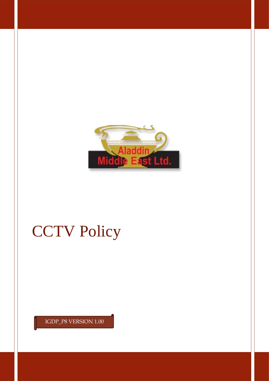

# **CCTV Policy**

IGDP\_P8 VERSION 1.00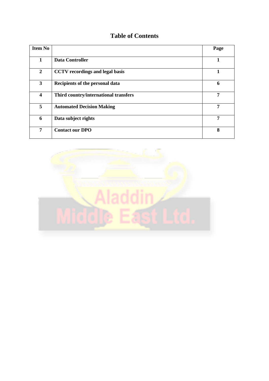# **Table of Contents**

| <b>Item No</b>          |                                        | Page |
|-------------------------|----------------------------------------|------|
| 1                       | <b>Data Controller</b>                 |      |
| $\overline{2}$          | <b>CCTV</b> recordings and legal basis | 1    |
| 3                       | Recipients of the personal data        | 6    |
| $\overline{\mathbf{4}}$ | Third country/international transfers  | 7    |
| 5                       | <b>Automated Decision Making</b>       | 7    |
| 6                       | Data subject rights                    | 7    |
| 7                       | <b>Contact our DPO</b>                 | 8    |

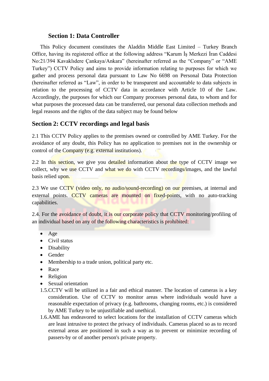#### **Section 1: Data Controller**

This Policy document constitutes the Aladdin Middle East Limited – Turkey Branch Office, having its registered office at the following address "Karum İş Merkezi İran Caddesi No:21/394 Kavaklıdere Çankaya/Ankara" (hereinafter referred as the "Company" or "AME Turkey") CCTV Policy and aims to provide information relating to purposes for which we gather and process personal data pursuant to Law No 6698 on Personal Data Protection (hereinafter referred as "Law", in order to be transparent and accountable to data subjects in relation to the processing of CCTV data in accordance with Article 10 of the Law. Accordingly, the purposes for which our Company processes personal data, to whom and for what purposes the processed data can be transferred, our personal data collection methods and legal reasons and the rights of the data subject may be found below

#### **Section 2: CCTV recordings and legal basis**

2.1 This CCTV Policy applies to the premises owned or controlled by AME Turkey. For the avoidance of any doubt, this Policy has no application to premises not in the ownership or control of the Company (e.g. external institutions).

2.2 In this section, we give you detailed information about the type of CCTV image we collect, why we use CCTV and what we do with CCTV recordings/images, and the lawful basis relied upon.

2.3 We use CCTV (video only, no audio/sound-recording) on our premises, at internal and external points. CCTV cameras are mounted on fixed-points, with no auto-tracking capabilities.

2.4. For the avoidance of doubt, it is our corporate policy that CCTV monitoring/profiling of an individual based on any of the following characteristics is prohibited:

- Age
- Civil status
- Disability
- Gender
- Membership to a trade union, political party etc.
- Race
- Religion
- Sexual orientation
- 1.5.CCTV will be utilized in a fair and ethical manner. The location of cameras is a key consideration. Use of CCTV to monitor areas where individuals would have a reasonable expectation of privacy (e.g. bathrooms, changing rooms, etc.) is considered by AME Turkey to be unjustifiable and unethical.
- 1.6.AME has endeavored to select locations for the installation of CCTV cameras which are least intrusive to protect the privacy of individuals. Cameras placed so as to record external areas are positioned in such a way as to prevent or minimize recording of passers-by or of another person's private property.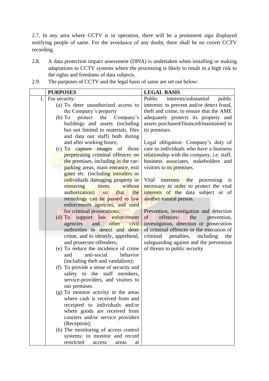2.7. In any area where CCTV is in operation, there will be a prominent sign displayed notifying people of same. For the avoidance of any doubt, there shall be no covert CCTV recording.

- 2.8. A data protection impact assessment (DPIA) is undertaken when installing or making adaptations to CCTV systems where the processing is likely to result in a high risk to the rights and freedoms of data subjects.
- **PURPOSES LEGAL BASIS** 1. For security: (a) To deter unauthorized access to the Company's property (b) To protect the Company's buildings and assets (including but not limited to materials, files and data our staff) both during and after working hours; (c) To capture images of those perpetrating criminal offences on the premises, including in the carparking areas, main entrance, exit gates etc. (including intruders or individuals damaging property or removing items without authorization) so that the recordings can be passed to law enforcement agencies, and used for criminal prosecutions; (d) To support law enforcement agencies and other civil authorities to detect and deter crime, and to identify, apprehend, and prosecute offenders; (e) To reduce the incidence of crime and anti-social behavior (including theft and vandalism); (f) To provide a sense of security and safety to the staff members, service-providers, and visitors to our premises. (g) To monitor activity in the areas where cash is received from and receipted to individuals and/or where goods are received from couriers and/or service providers (Reception); (h) The monitoring of access control systems: to monitor and record restricted access areas at Public interests/substantial public interests: to prevent and/or detect fraud, theft and crime, to ensure that the AME adequately protects its property and assets purchased/financed/maintained in tis premises. Legal obligation: Company's duty of care to individuals who have a business relationship with the company, i.e. staff, business associates, stakeholders and visitors to *its* premises. Vital interests: the processing is necessary in order to protect the vital interests of the data subject or of another natural person. Prevention, investigation and detection of offences: the prevention, investigation, detection or prosecution of criminal offences or the execution of criminal penalties, including the safeguarding against and the prevention of threats to public security
- 2.9. The purposes of CCTV and the legal basis of same are set out below: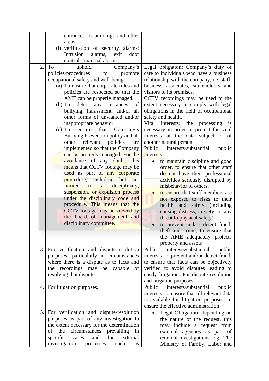|    | entrances to buildings and other<br>areas:<br>(i) verification of security alarms:<br>Intrusion<br>alarms,<br>exit<br>door                                                                                                                                                                                                                                                                                                                                                                                                                                                                                                                                         |                                                                                                                                                                                                                                                                                                                                                                                                                                                                                                                                                                                                                                                              |
|----|--------------------------------------------------------------------------------------------------------------------------------------------------------------------------------------------------------------------------------------------------------------------------------------------------------------------------------------------------------------------------------------------------------------------------------------------------------------------------------------------------------------------------------------------------------------------------------------------------------------------------------------------------------------------|--------------------------------------------------------------------------------------------------------------------------------------------------------------------------------------------------------------------------------------------------------------------------------------------------------------------------------------------------------------------------------------------------------------------------------------------------------------------------------------------------------------------------------------------------------------------------------------------------------------------------------------------------------------|
| 2. | controls, external alarms;<br>To<br>Company's<br>uphold<br>policies/procedures<br>promote<br>to<br>occupational safety and well-being:<br>(a) To ensure that corporate rules and<br>policies are respected so that the<br>AME can be properly managed.<br>any instances<br>deter<br>$(b)$ To<br>of<br>bullying, harassment, and/or all<br>other forms of unwanted and/or<br>inappropriate behavior.<br>ensure<br>that<br>Company's<br>$(c)$ To<br>Bullying Prevention policy and all<br>relevant policies<br>other<br>are<br>implemented so that the Company<br>can be properly managed. For the<br>avoidance of any doubt, this<br>means that CCTV footage may be | Legal obligation: Company's duty of<br>care to individuals who have a business<br>relationship with the company, i.e. staff,<br>business associates, stakeholders and<br>visitors to its premises.<br>CCTV recordings may be used to the<br>extent necessary to comply with legal<br>obligations in the field of occupational<br>safety and health.<br>Vital<br>interests:<br>the<br>processing<br>is<br>necessary in order to protect the vital<br>interests of the data subject or of<br>another natural person.<br>interests/substantial<br><b>Public</b><br>public<br>interests:<br>to maintain discipline and good<br>order, to ensure that other staff |
|    | used as part of any corporate<br>procedure, including but not<br>limited<br>disciplinary,<br>to<br>a<br>suspension, or expulsion process<br>under the disciplinary code and<br>procedure. This means that the<br>CCTV footage may be viewed by<br>the board of management and<br>disciplinary committee.                                                                                                                                                                                                                                                                                                                                                           | do not have their professional<br>activities seriously disrupted by<br>misbehavior of others,<br>to ensure that staff members are<br>not exposed to risks to their<br>health<br>and safety (including<br>causing distress, anxiety, or any<br>threat to physical safety).<br>to prevent and/or detect fraud,<br>theft and crime, to ensure that<br>the AME adequately protects<br>property and assets                                                                                                                                                                                                                                                        |
| 3. | For verification and dispute-resolution<br>purposes, particularly in circumstances<br>where there is a dispute as to facts and<br>the recordings may be<br>capable<br>of<br>resolving that dispute.                                                                                                                                                                                                                                                                                                                                                                                                                                                                | Public<br>interests/substantial<br>public<br>interests: to prevent and/or detect fraud,<br>to ensure that facts can be objectively<br>verified to avoid disputes leading to<br>costly litigation. For dispute resolution<br>and litigation purposes.                                                                                                                                                                                                                                                                                                                                                                                                         |
| 4. | For litigation purposes.                                                                                                                                                                                                                                                                                                                                                                                                                                                                                                                                                                                                                                           | interests/substantial<br>Public<br>public<br>interests: to ensure that all relevant data<br>is available for litigation purposes, to<br>ensure the effective administration                                                                                                                                                                                                                                                                                                                                                                                                                                                                                  |
| 5. | For verification and dispute-resolution<br>purposes as part of any investigation to<br>the extent necessary for the determination<br>circumstances prevailing<br>the<br>of<br>in<br>specific<br>and<br>for<br>external<br>cases<br>investigation<br>such<br>processes<br>as                                                                                                                                                                                                                                                                                                                                                                                        | Legal Obligation: depending on<br>the nature of the request, this<br>may include a request from<br>external agencies as part of<br>external investigations, e.g.: The<br>Ministry of Family, Labor and                                                                                                                                                                                                                                                                                                                                                                                                                                                       |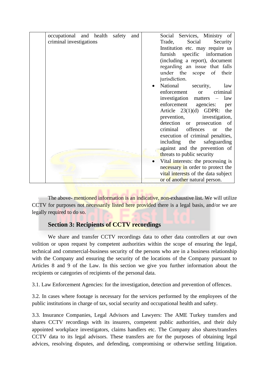| occupational and health safety |  |  |  | and                          | Social Services, Ministry of               |
|--------------------------------|--|--|--|------------------------------|--------------------------------------------|
| criminal investigations        |  |  |  | Social<br>Security<br>Trade, |                                            |
|                                |  |  |  |                              | Institution etc. may require us            |
|                                |  |  |  |                              | specific information<br>furnish            |
|                                |  |  |  |                              | (including a report), document             |
|                                |  |  |  |                              | regarding an issue that falls              |
|                                |  |  |  |                              | under the scope of<br>their                |
|                                |  |  |  |                              | jurisdiction.                              |
|                                |  |  |  |                              | National<br>security,<br>law               |
|                                |  |  |  |                              | enforcement<br>criminal<br><b>or</b>       |
|                                |  |  |  |                              | investigation matters<br>law<br>$\sim$ $-$ |
|                                |  |  |  |                              | enforcement agencies:<br>per               |
|                                |  |  |  |                              | the<br>Article $23(1)(d)$ GDPR:            |
|                                |  |  |  |                              | prevention, investigation,                 |
|                                |  |  |  |                              | detection or prosecution<br>- of           |
|                                |  |  |  |                              | criminal offences<br>the<br><b>or</b>      |
|                                |  |  |  |                              | execution of criminal penalties,           |
|                                |  |  |  |                              | including the<br>safeguarding              |
|                                |  |  |  |                              | against and the prevention of              |
|                                |  |  |  |                              | threats to public security                 |
|                                |  |  |  |                              | Vital interests: the processing is         |
|                                |  |  |  |                              | necessary in order to protect the          |
|                                |  |  |  |                              | vital interests of the data subject        |
|                                |  |  |  |                              | or of another natural person.              |

The above- mentioned information is an indicative, non-exhaustive list. We will utilize CCTV for purposes not necessarily listed here provided there is a legal basis, and/or we are legally required to do so.

### **Section 3: Recipients of CCTV recordings**

We share and transfer CCTV recordings data to other data controllers at our own volition or upon request by competent authorities within the scope of ensuring the legal, technical and commercial-business security of the persons who are in a business relationship with the Company and ensuring the security of the locations of the Company pursuant to Articles 8 and 9 of the Law. In this section we give you further information about the recipients or categories of recipients of the personal data.

3.1. Law Enforcement Agencies: for the investigation, detection and prevention of offences.

3.2. In cases where footage is necessary for the services performed by the employees of the public institutions in charge of tax, social security and occupational health and safety.

3.3. Insurance Companies, Legal Advisors and Lawyers: The AME Turkey transfers and shares CCTV recordings with its insurers, competent public authorities, and their duly appointed workplace investigators, claims handlers etc. The Company also shares/transfers CCTV data to its legal advisors. These transfers are for the purposes of obtaining legal advices, resolving disputes, and defending, compromising or otherwise settling litigation.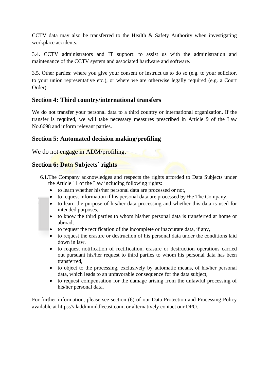CCTV data may also be transferred to the Health & Safety Authority when investigating workplace accidents.

3.4. CCTV administrators and IT support: to assist us with the administration and maintenance of the CCTV system and associated hardware and software.

3.5. Other parties: where you give your consent or instruct us to do so (e.g. to your solicitor, to your union representative etc.), or where we are otherwise legally required (e.g. a Court Order).

#### **Section 4: Third country/international transfers**

We do not transfer your personal data to a third country or international organization. If the transfer is required, we will take necessary measures prescribed in Article 9 of the Law No.6698 and inform relevant parties.

#### **Section 5: Automated decision making/profiling**

We do not engage in ADM/profiling.

#### **Section 6: Data Subjects' rights**

- 6.1.The Company acknowledges and respects the rights afforded to Data Subjects under the Article 11 of the Law including following rights:
	- to learn whether his/her personal data are processed or not,
	- to request information if his personal data are processed by the The Company,
	- to learn the purpose of his/her data processing and whether this data is used for intended purposes,
	- to know the third parties to whom his/her personal data is transferred at home or abroad,
	- to request the rectification of the incomplete or inaccurate data, if any,
	- to request the erasure or destruction of his personal data under the conditions laid down in law,
	- to request notification of rectification, erasure or destruction operations carried out pursuant his/her request to third parties to whom his personal data has been transferred,
	- to object to the processing, exclusively by automatic means, of his/her personal data, which leads to an unfavorable consequence for the data subject,
	- to request compensation for the damage arising from the unlawful processing of his/her personal data.

For further information, please see section (6) of our Data Protection and Processing Policy available at https://aladdinmiddleeast.com, or alternatively contact our DPO.